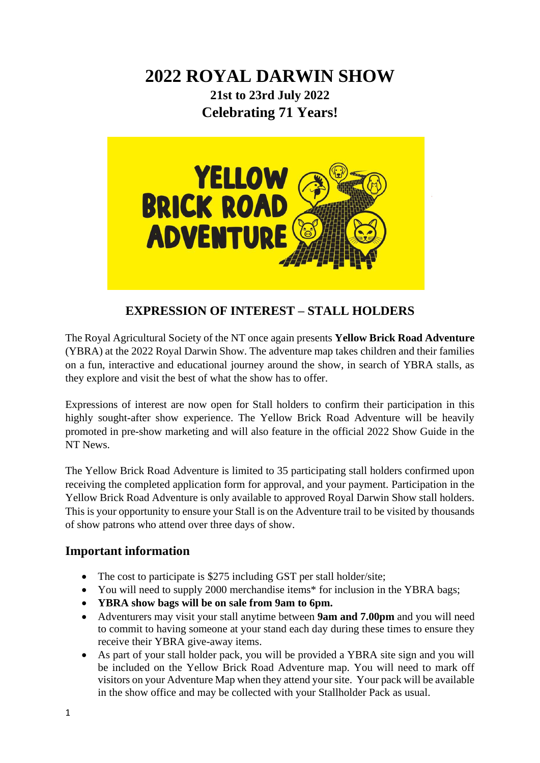# **2022 ROYAL DARWIN SHOW 21st to 23rd July 2022 Celebrating 71 Years!**



## **EXPRESSION OF INTEREST – STALL HOLDERS**

The Royal Agricultural Society of the NT once again presents **Yellow Brick Road Adventure** (YBRA) at the 2022 Royal Darwin Show. The adventure map takes children and their families on a fun, interactive and educational journey around the show, in search of YBRA stalls, as they explore and visit the best of what the show has to offer.

Expressions of interest are now open for Stall holders to confirm their participation in this highly sought-after show experience. The Yellow Brick Road Adventure will be heavily promoted in pre-show marketing and will also feature in the official 2022 Show Guide in the NT News.

The Yellow Brick Road Adventure is limited to 35 participating stall holders confirmed upon receiving the completed application form for approval, and your payment. Participation in the Yellow Brick Road Adventure is only available to approved Royal Darwin Show stall holders. This is your opportunity to ensure your Stall is on the Adventure trail to be visited by thousands of show patrons who attend over three days of show.

### **Important information**

- The cost to participate is \$275 including GST per stall holder/site;
- You will need to supply 2000 merchandise items\* for inclusion in the YBRA bags;
- **YBRA show bags will be on sale from 9am to 6pm.**
- Adventurers may visit your stall anytime between **9am and 7.00pm** and you will need to commit to having someone at your stand each day during these times to ensure they receive their YBRA give-away items.
- As part of your stall holder pack, you will be provided a YBRA site sign and you will be included on the Yellow Brick Road Adventure map. You will need to mark off visitors on your Adventure Map when they attend your site. Your pack will be available in the show office and may be collected with your Stallholder Pack as usual.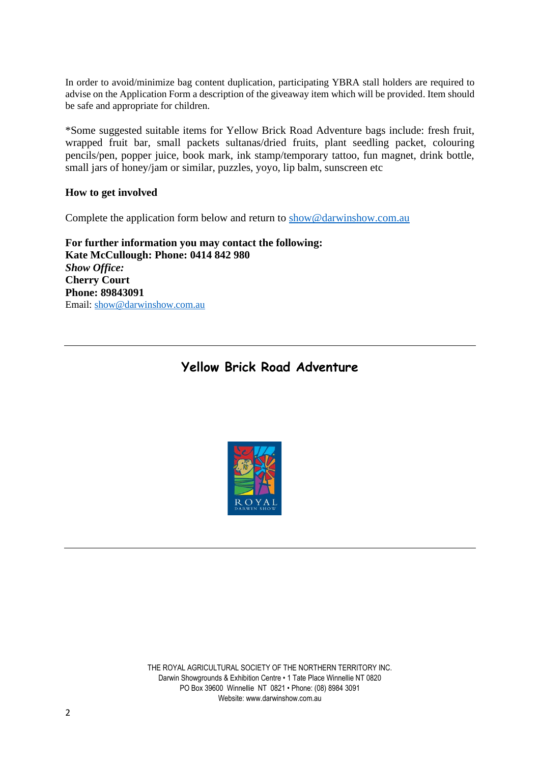In order to avoid/minimize bag content duplication, participating YBRA stall holders are required to advise on the Application Form a description of the giveaway item which will be provided. Item should be safe and appropriate for children.

\*Some suggested suitable items for Yellow Brick Road Adventure bags include: fresh fruit, wrapped fruit bar, small packets sultanas/dried fruits, plant seedling packet, colouring pencils/pen, popper juice, book mark, ink stamp/temporary tattoo, fun magnet, drink bottle, small jars of honey/jam or similar, puzzles, yoyo, lip balm, sunscreen etc

#### **How to get involved**

Complete the application form below and return to [show@darwinshow.com.au](mailto:show@darwinshow.com.au)

**For further information you may contact the following: Kate McCullough: Phone: 0414 842 980** *Show Office:* **Cherry Court Phone: 89843091** Email: [show@darwinshow.com.au](mailto:show@darwinshow.com.au)

## **Yellow Brick Road Adventure**



THE ROYAL AGRICULTURAL SOCIETY OF THE NORTHERN TERRITORY INC. Darwin Showgrounds & Exhibition Centre • 1 Tate Place Winnellie NT 0820 PO Box 39600 Winnellie NT 0821 • Phone: (08) 8984 3091 Website: www.darwinshow.com.au